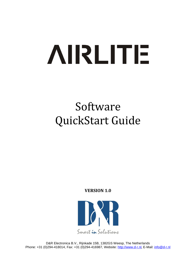# **AIRLITE**

# Software QuickStart Guide

**VERSION 1.0**



D&R Electronica B.V., Rijnkade 15B, 1382GS Weesp, The Netherlands Phone: +31 (0)294-418014, Fax: +31 (0)294-416987, Website: [http://www.d-r.nl](http://www.d-r.nl/), E-Mail: [info@d-r.nl](mailto:info@d-r.nl)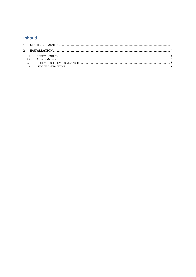# **Inhoud**

| 2.3 |  |  |
|-----|--|--|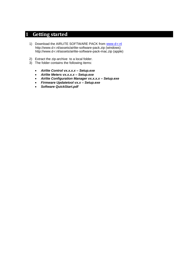# <span id="page-2-0"></span>**1 Getting started**

- 1) Download the AIRLITE SOFTWARE PACK from [www.d-r.nl](http://www.d-r.nl/) http://www.d-r.nl/assets/airlite-software-pack.zip (windows) http://www.d-r.nl/assets/airlite-software-pack-mac.zip (apple)
- 2) Extract the zip-archive to a local folder.
- 3) The folder contains the following items:
	- *Airlite Control vx.x.x.x – Setup.exe*
	- *Airlite Meters vx.x.x.x – Setup.exe*
	- *Airlite Configuration Manager vx.x.x.x – Setup.exe*
	- *Firmware Updatetool vx.x – Setup.exe*
	- *Software QuickStart.pdf*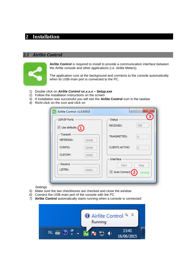# <span id="page-3-0"></span>**2 Installation**

#### <span id="page-3-1"></span>*2.1 Airlite Control*



**Airlite Control** is required to install to provide a communication interface between the Airlite console and other applications (i.e. Airlite Meters).

The application runs at the background and connects to the console automatically when its USB-main port is connected to the PC.

- 1) Double click on *Airlite Control vx.x.x.x – Setup.exe*
- 2) Follow the installation instructions on the screen
- 3) If installation was successful you will see the **Airlite Control** icon in the taskbar
- *4)* Richt-click on the icon and click on

| Airlite Control v1.0.434.0                            | $\mathbf{x}$<br>$\equiv$                          |
|-------------------------------------------------------|---------------------------------------------------|
| UDP/IP Ports                                          | <b>Status</b>                                     |
| $\overline{\mathbb{V}}$ Use defaults $\left(1\right)$ | <b>RECEIVED:</b><br>758                           |
| Transmit<br><b>METERING:</b><br>19548                 | TRANSMITTED:<br>$\overline{0}$                    |
| CONFIG:<br>19549                                      | <b>CLIENTS ACTIVE:</b><br>0                       |
| <b>CUSTOM:</b><br>19550                               | Interface                                         |
| Receive<br>LISTEN:<br>19551                           | <b>Start</b><br>Stop<br>Auto Connect 2<br>running |
|                                                       |                                                   |

*Settings*

- *5)* Make sure the two checkboxes are checked and close the window
- *6)* Connect the USB-main port of the console with the PC
- *7)* **Airlite Control** automatically starts running when a console is connected:

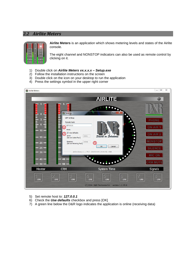### <span id="page-4-0"></span>*2.2 Airlite Meters*



**Airlite Meters** is an application which shows metering levels and states of the Airlite console.

The eight channel and NONSTOP indicators can also be used as remote control by clicking on it.

- 1) Double click on *Airlite Meters vx.x.x.x – Setup.exe*
- 2) Follow the installation instructions on the screen
- 3) Double click on the icon on your desktop to run the application
- 4) Press the settings symbol in the upper right corner



- 5) Set remote host to: *127.0.0.1*
- 6) Check the *Use defaults* checkbox and press [OK]
- 7) A green line below the D&R logo indicates the application is online (receiving data)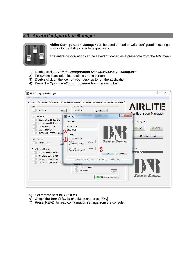### <span id="page-5-0"></span>*2.3 Airlite Configuration Manager*



**Airlite Configuration Manager** can be used to read or write configuration settings from or to the Airlite console respectively.

The entire configuration can be saved or loaded as a preset-file from the *File* menu.

- 1) Double click on *Airlite Configuration Manager vx.x.x.x – Setup.exe*
- 2) Follow the installation instructions on the screen
- 3) Double click on the icon on your desktop to run the application
- 4) Press the *Options->Communication* from the menu bar:



- 5) Set remote host to: *127.0.0.1*
- 6) Check the *Use defaults* checkbox and press [OK]
- 7) Press [READ] to read configuration settings from the console.